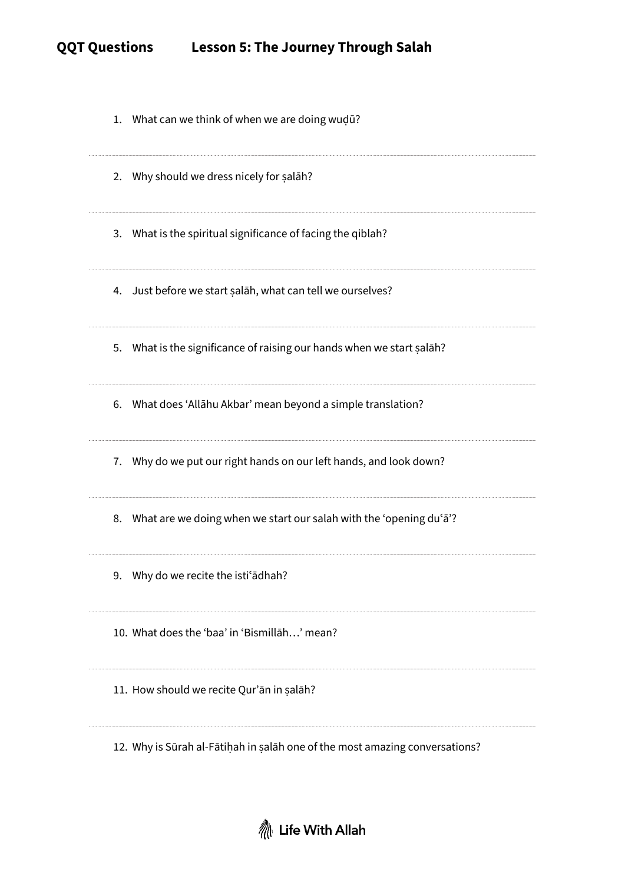## **QQT Questions Lesson 5: The Journey Through Salah**

| 1. What can we think of when we are doing wudū?                             |
|-----------------------------------------------------------------------------|
| 2. Why should we dress nicely for salah?                                    |
| 3. What is the spiritual significance of facing the qiblah?                 |
| 4. Just before we start salāh, what can tell we ourselves?                  |
| 5. What is the significance of raising our hands when we start salah?       |
| 6. What does 'Allahu Akbar' mean beyond a simple translation?               |
| 7. Why do we put our right hands on our left hands, and look down?          |
| 8. What are we doing when we start our salah with the 'opening du'a'?       |
| Why do we recite the isti <sup>s</sup> adhah?<br>9.                         |
| 10. What does the 'baa' in 'Bismillah' mean?                                |
| 11. How should we recite Qur'an in salah?                                   |
| 12. Why is Sūrah al-Fātiḥah in salāh one of the most amazing conversations? |

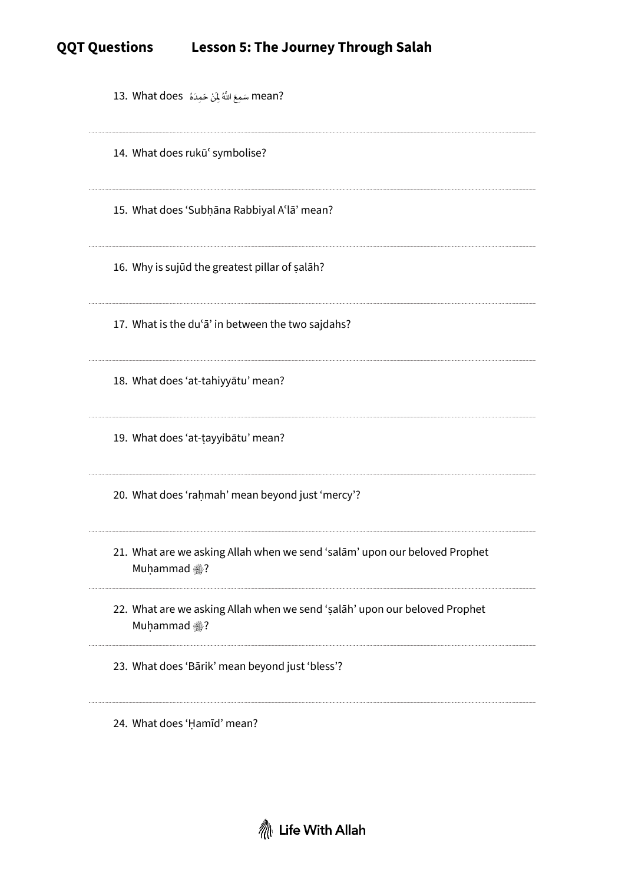| ?mean سَمِعَ اللَّهُ لِمَنْ حَمِدَهُ   13. What does                                       |
|--------------------------------------------------------------------------------------------|
| 14. What does rukū' symbolise?                                                             |
| 15. What does 'Subhana Rabbiyal A'la' mean?                                                |
| 16. Why is sujud the greatest pillar of salah?                                             |
| 17. What is the du'a' in between the two sajdahs?                                          |
| 18. What does 'at-tahiyyātu' mean?                                                         |
| 19. What does 'at-tayyibātu' mean?                                                         |
| 20. What does 'rahmah' mean beyond just 'mercy'?                                           |
| 21. What are we asking Allah when we send 'salām' upon our beloved Prophet<br>Muḥammad ?   |
| 22. What are we asking Allah when we send 'salah' upon our beloved Prophet<br>Muḥammad , ? |
| 23. What does 'Bārik' mean beyond just 'bless'?                                            |
| 24. What does 'Hamīd' mean?                                                                |